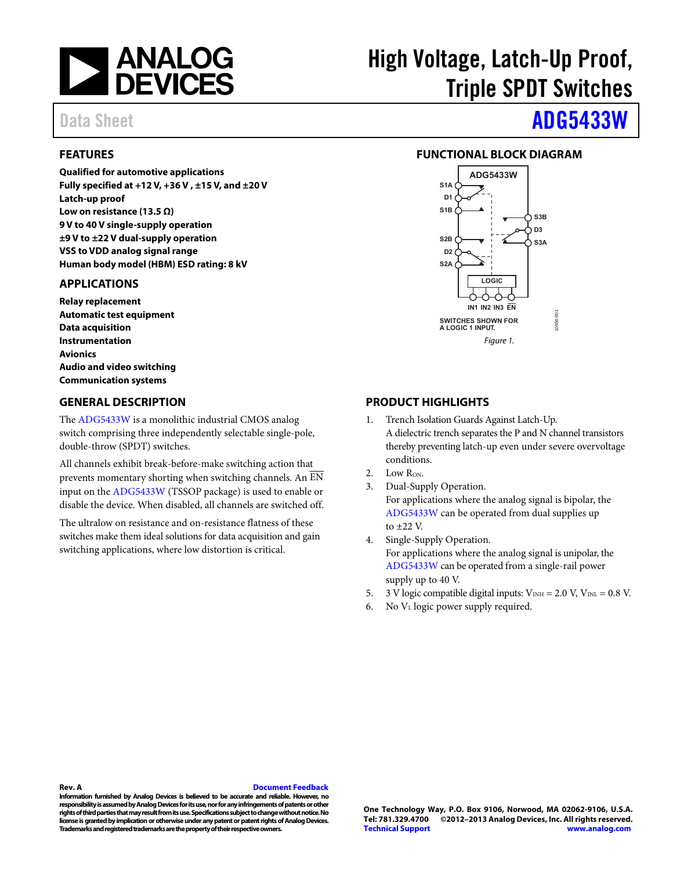

#### <span id="page-0-0"></span>**FEATURES**

**Qualified for automotive applications Fully specified at +12 V, +36 V , ±15 V, and ±20 V Latch-up proof Low on resistance (13.5 Ω) 9 V to 40 V single-supply operation ±9 V to ±22 V dual-supply operation VSS to VDD analog signal range Human body model (HBM) ESD rating: 8 kV** 

#### <span id="page-0-1"></span>**APPLICATIONS**

**Relay replacement Automatic test equipment Data acquisition Instrumentation Avionics Audio and video switching Communication systems** 

#### <span id="page-0-3"></span>**GENERAL DESCRIPTION**

The [ADG5433W](http://www.analog.com/adg5433?doc=ADG5433W.pdf) is a monolithic industrial CMOS analog switch comprising three independently selectable single-pole, double-throw (SPDT) switches.

All channels exhibit break-before-make switching action that prevents momentary shorting when switching channels. An EN input on th[e ADG5433W \(](http://www.analog.com/adg5433?doc=ADG5433W.pdf)TSSOP package) is used to enable or disable the device. When disabled, all channels are switched off.

The ultralow on resistance and on-resistance flatness of these switches make them ideal solutions for data acquisition and gain switching applications, where low distortion is critical.

# High Voltage, Latch-Up Proof, Triple SPDT Switches

# Data Sheet **[ADG5433W](http://www.analog.com/adg5433)**

#### <span id="page-0-2"></span>**FUNCTIONAL BLOCK DIAGRAM**



#### <span id="page-0-4"></span>**PRODUCT HIGHLIGHTS**

- 1. Trench Isolation Guards Against Latch-Up. A dielectric trench separates the P and N channel transistors thereby preventing latch-up even under severe overvoltage conditions.
- 2. Low R<sub>ON</sub>.
- 3. Dual-Supply Operation. For applications where the analog signal is bipolar, the [ADG5433W](http://www.analog.com/adg5433?doc=ADG5433W.pdf) can be operated from dual supplies up to ±22 V.
- 4. Single-Supply Operation. For applications where the analog signal is unipolar, the [ADG5433W c](http://www.analog.com/adg5433?doc=ADG5433W.pdf)an be operated from a single-rail power supply up to 40 V.
- 5. 3 V logic compatible digital inputs:  $V_{INH} = 2.0 V, V_{INL} = 0.8 V$ .
- 6. No  $V_{\text{L}}$  logic power supply required.

#### **Rev. A [Document Feedback](https://form.analog.com/Form_Pages/feedback/documentfeedback.aspx?doc=ADG5433W.pdf&product=ADG5433W&rev=A)**

**Information furnished by Analog Devices is believed to be accurate and reliable. However, no responsibility is assumed by Analog Devices for its use, nor for any infringements of patents or other rights of third parties that may result from its use. Specifications subject to change without notice. No license is granted by implication or otherwise under any patent or patent rights of Analog Devices. Trademarks and registered trademarks are the property of their respective owners.**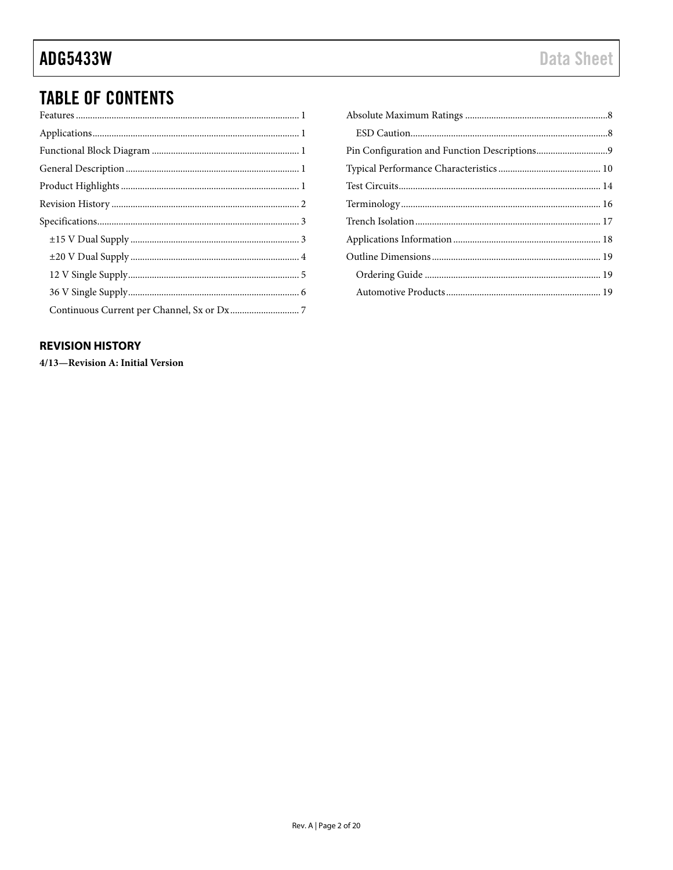## **TABLE OF CONTENTS**

#### <span id="page-1-0"></span>**REVISION HISTORY**

4/13-Revision A: Initial Version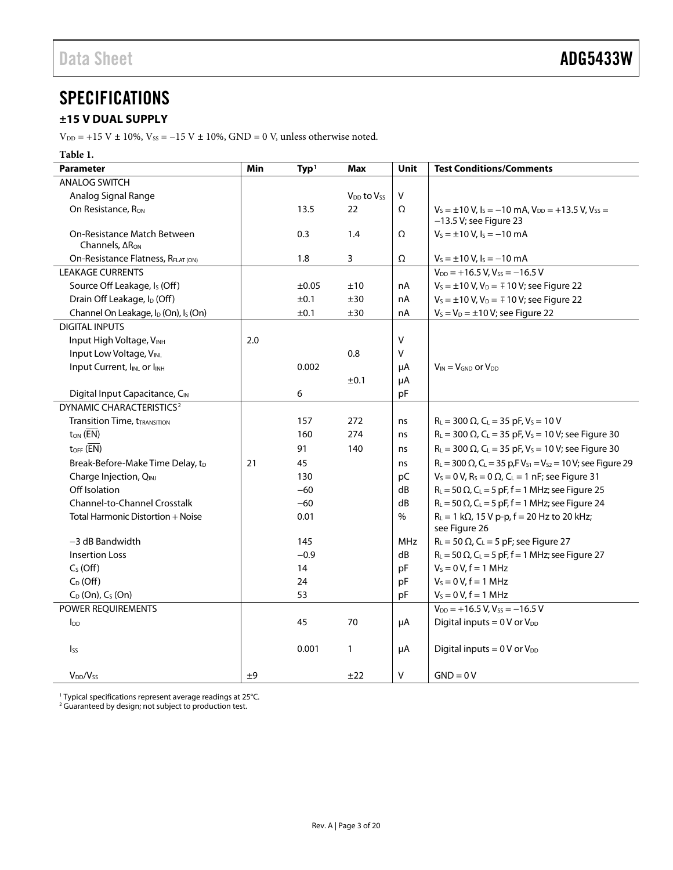### <span id="page-2-0"></span>**SPECIFICATIONS**

### <span id="page-2-1"></span>**±15 V DUAL SUPPLY**

 $\rm V_{\rm DD}$  = +15 V  $\pm$  10%, Vss = –15 V  $\pm$  10%, GND = 0 V, unless otherwise noted.

| Table 1.                                                     |     |                  |                                    |               |                                                                                                    |
|--------------------------------------------------------------|-----|------------------|------------------------------------|---------------|----------------------------------------------------------------------------------------------------|
| <b>Parameter</b>                                             | Min | Typ <sup>1</sup> | <b>Max</b>                         | <b>Unit</b>   | <b>Test Conditions/Comments</b>                                                                    |
| <b>ANALOG SWITCH</b>                                         |     |                  |                                    |               |                                                                                                    |
| Analog Signal Range                                          |     |                  | V <sub>DD</sub> to V <sub>SS</sub> | V             |                                                                                                    |
| On Resistance, R <sub>ON</sub>                               |     | 13.5             | 22                                 | Ω             | $V_s = \pm 10 V$ , $I_s = -10$ mA, $V_{DD} = +13.5 V$ , $V_{SS} =$                                 |
|                                                              |     |                  |                                    |               | $-13.5$ V; see Figure 23                                                                           |
| On-Resistance Match Between                                  |     | 0.3              | 1.4                                | Ω             | $V_s = \pm 10 V$ , $I_s = -10 mA$                                                                  |
| Channels, $\Delta R_{ON}$                                    |     |                  |                                    |               |                                                                                                    |
| On-Resistance Flatness, RFLAT (ON)                           |     | 1.8              | 3                                  | Ω             | $V_s = \pm 10 V$ , $I_s = -10$ mA                                                                  |
| <b>LEAKAGE CURRENTS</b>                                      |     |                  |                                    |               | $V_{DD}$ = +16.5 V, Vss = -16.5 V                                                                  |
| Source Off Leakage, Is (Off)                                 |     | $\pm 0.05$       | ±10                                | nA            | $V_s = \pm 10 \text{ V}$ , $V_D = \mp 10 \text{ V}$ ; see Figure 22                                |
| Drain Off Leakage, I <sub>D</sub> (Off)                      |     | ±0.1             | ±30                                | nA            | $V_s = \pm 10$ V, $V_D = \mp 10$ V; see Figure 22                                                  |
| Channel On Leakage, I <sub>D</sub> (On), I <sub>S</sub> (On) |     | ±0.1             | ±30                                | nA            | $V_s = V_D = \pm 10 V$ ; see Figure 22                                                             |
| <b>DIGITAL INPUTS</b>                                        |     |                  |                                    |               |                                                                                                    |
| Input High Voltage, VINH                                     | 2.0 |                  |                                    | $\vee$        |                                                                                                    |
| Input Low Voltage, VINL                                      |     |                  | 0.8                                | V             |                                                                                                    |
| Input Current, IINL or IINH                                  |     | 0.002            |                                    | μA            | $V_{IN} = V_{GND}$ or $V_{DD}$                                                                     |
|                                                              |     |                  | ±0.1                               | μA            |                                                                                                    |
| Digital Input Capacitance, CIN                               |     | 6                |                                    | pF            |                                                                                                    |
| DYNAMIC CHARACTERISTICS <sup>2</sup>                         |     |                  |                                    |               |                                                                                                    |
| <b>Transition Time, tTRANSITION</b>                          |     | 157              | 272                                | ns            | $R_L = 300 \Omega$ , C <sub>L</sub> = 35 pF, V <sub>s</sub> = 10 V                                 |
| $t_{ON}$ ( $\overline{EN}$ )                                 |     | 160              | 274                                | ns            | $R_L$ = 300 $\Omega$ , C <sub>L</sub> = 35 pF, V <sub>s</sub> = 10 V; see Figure 30                |
| $t_{OFF}$ ( $\overline{EN}$ )                                |     | 91               | 140                                | ns            | $R_L = 300 \Omega$ , C <sub>L</sub> = 35 pF, V <sub>s</sub> = 10 V; see Figure 30                  |
| Break-Before-Make Time Delay, tD                             | 21  | 45               |                                    | ns            | $R_L = 300 \Omega$ , C <sub>L</sub> = 35 p,FV <sub>S1</sub> = V <sub>S2</sub> = 10V; see Figure 29 |
| Charge Injection, QINJ                                       |     | 130              |                                    | рC            | $V_s = 0$ V, R <sub>s</sub> = 0 $\Omega$ , C <sub>L</sub> = 1 nF; see Figure 31                    |
| Off Isolation                                                |     | $-60$            |                                    | dB            | $R_L$ = 50 $\Omega$ , C <sub>L</sub> = 5 pF, f = 1 MHz; see Figure 25                              |
| <b>Channel-to-Channel Crosstalk</b>                          |     | $-60$            |                                    | dB            | $R_L$ = 50 $\Omega$ , C <sub>L</sub> = 5 pF, f = 1 MHz; see Figure 24                              |
| Total Harmonic Distortion + Noise                            |     | 0.01             |                                    | $\frac{0}{0}$ | $R_L = 1 k\Omega$ , 15 V p-p, $f = 20 Hz$ to 20 kHz;                                               |
|                                                              |     |                  |                                    |               | see Figure 26                                                                                      |
| $-3$ dB Bandwidth                                            |     | 145              |                                    | <b>MHz</b>    | $R_L$ = 50 $\Omega$ , C <sub>L</sub> = 5 pF; see Figure 27                                         |
| <b>Insertion Loss</b>                                        |     | $-0.9$           |                                    | dB            | $R_L$ = 50 $\Omega$ , C <sub>L</sub> = 5 pF, f = 1 MHz; see Figure 27                              |
| $CS$ (Off)                                                   |     | 14               |                                    | pF            | $V_s = 0 V, f = 1 MHz$                                                                             |
| $C_D$ (Off)                                                  |     | 24               |                                    | pF            | $V_s = 0 V, f = 1 MHz$                                                                             |
| $C_D$ (On), $C_S$ (On)                                       |     | 53               |                                    | pF            | $V_s = 0 V, f = 1 MHz$                                                                             |
| <b>POWER REOUIREMENTS</b>                                    |     |                  |                                    |               | $V_{DD}$ = +16.5 V, V <sub>ss</sub> = -16.5 V                                                      |
| $I_{DD}$                                                     |     | 45               | 70                                 | μA            | Digital inputs = $0 \text{ V or } V_{DD}$                                                          |
|                                                              |     |                  |                                    |               |                                                                                                    |
| $\mathsf{lss}$                                               |     | 0.001            | $\mathbf{1}$                       | μA            | Digital inputs = $0 \text{ V or } V_{DD}$                                                          |
|                                                              |     |                  |                                    |               |                                                                                                    |
| $V_{DD}/V_{SS}$                                              | ±9  |                  | ±22                                | $\vee$        | $GND = 0V$                                                                                         |

<span id="page-2-3"></span><span id="page-2-2"></span><sup>1</sup> Typical specifications represent average readings at 25°C.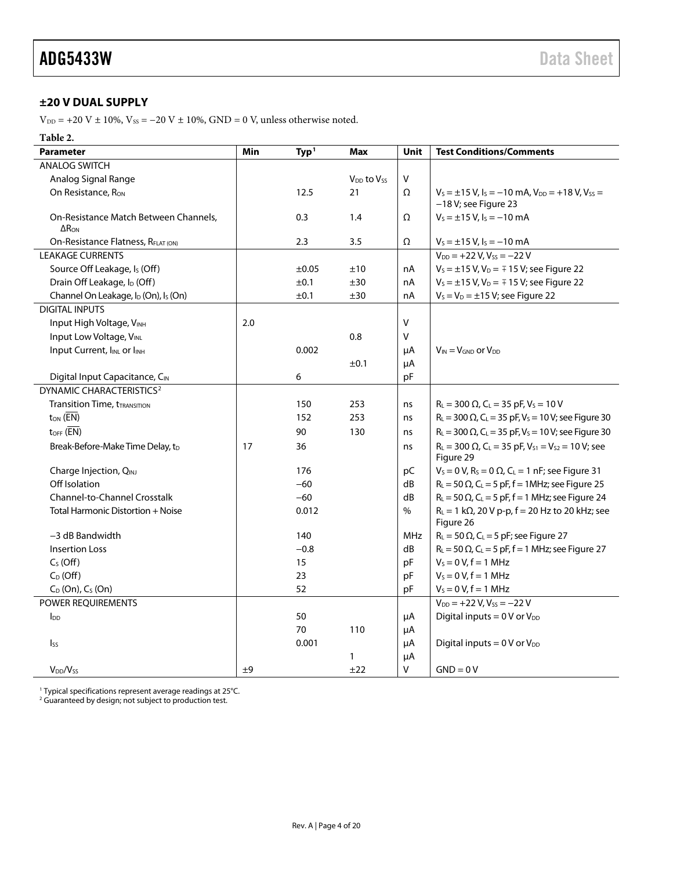#### <span id="page-3-0"></span>**±20 V DUAL SUPPLY**

 $\rm V_{\rm DD}$  = +20 V  $\pm$  10%, Vss = –20 V  $\pm$  10%, GND = 0 V, unless otherwise noted.

#### **Table 2.**

| <b>Parameter</b>                                             | Min | Type <sup>1</sup> | <b>Max</b>                         | Unit    | <b>Test Conditions/Comments</b>                                                                         |
|--------------------------------------------------------------|-----|-------------------|------------------------------------|---------|---------------------------------------------------------------------------------------------------------|
| <b>ANALOG SWITCH</b>                                         |     |                   |                                    |         |                                                                                                         |
| Analog Signal Range                                          |     |                   | V <sub>DD</sub> to V <sub>SS</sub> | $\sf V$ |                                                                                                         |
| On Resistance, Ron                                           |     | 12.5              | 21                                 | Ω       | $V_s = \pm 15$ V, $I_s = -10$ mA, $V_{DD} = +18$ V, $V_{SS} =$<br>$-18$ V; see Figure 23                |
| On-Resistance Match Between Channels,<br>$\Delta R_{ON}$     |     | 0.3               | 1.4                                | Ω       | $V_s = \pm 15$ V, $I_s = -10$ mA                                                                        |
| On-Resistance Flatness, RFLAT (ON)                           |     | 2.3               | 3.5                                | Ω       | $V_s = \pm 15$ V, $I_s = -10$ mA                                                                        |
| <b>LEAKAGE CURRENTS</b>                                      |     |                   |                                    |         | $V_{DD}$ = +22 V, V <sub>SS</sub> = -22 V                                                               |
| Source Off Leakage, Is (Off)                                 |     | $\pm 0.05$        | ±10                                | nA      | $V_s = \pm 15$ V, V <sub>D</sub> = $\mp$ 15 V; see Figure 22                                            |
| Drain Off Leakage, I <sub>D</sub> (Off)                      |     | ±0.1              | ±30                                | nA      | $V_s = \pm 15$ V, $V_D = \mp 15$ V; see Figure 22                                                       |
| Channel On Leakage, I <sub>D</sub> (On), I <sub>S</sub> (On) |     | ±0.1              | ±30                                | nA      | $V_s = V_D = \pm 15$ V; see Figure 22                                                                   |
| <b>DIGITAL INPUTS</b>                                        |     |                   |                                    |         |                                                                                                         |
| Input High Voltage, VINH                                     | 2.0 |                   |                                    | ٧       |                                                                                                         |
| Input Low Voltage, VINL                                      |     |                   | 0.8                                | V       |                                                                                                         |
| Input Current, IINL or IINH                                  |     | 0.002             |                                    | μA      | $V_{IN} = V_{GND}$ or $V_{DD}$                                                                          |
|                                                              |     |                   | ±0.1                               | μA      |                                                                                                         |
| Digital Input Capacitance, CIN                               |     | 6                 |                                    | рF      |                                                                                                         |
| DYNAMIC CHARACTERISTICS <sup>2</sup>                         |     |                   |                                    |         |                                                                                                         |
| <b>Transition Time, tTRANSITION</b>                          |     | 150               | 253                                | ns      | $R_L = 300 \Omega$ , C <sub>L</sub> = 35 pF, V <sub>s</sub> = 10 V                                      |
| $t_{ON}$ ( $\overline{EN}$ )                                 |     | 152               | 253                                | ns      | $R_L$ = 300 $\Omega$ , C <sub>L</sub> = 35 pF, V <sub>s</sub> = 10 V; see Figure 30                     |
| $t$ OFF $(\overline{EN})$                                    |     | 90                | 130                                | ns      | $R_L$ = 300 $\Omega$ , C <sub>L</sub> = 35 pF, V <sub>s</sub> = 10 V; see Figure 30                     |
| Break-Before-Make Time Delay, tD                             | 17  | 36                |                                    | ns      | $R_L = 300 \Omega$ , C <sub>L</sub> = 35 pF, V <sub>S1</sub> = V <sub>S2</sub> = 10 V; see<br>Figure 29 |
| Charge Injection, QINJ                                       |     | 176               |                                    | pC      | $V_S = 0$ V, $R_S = 0$ $\Omega$ , $C_L = 1$ nF; see Figure 31                                           |
| Off Isolation                                                |     | $-60$             |                                    | dB      | $R_L$ = 50 $\Omega$ , C <sub>L</sub> = 5 pF, f = 1MHz; see Figure 25                                    |
| Channel-to-Channel Crosstalk                                 |     | $-60$             |                                    | dB      | $R_L$ = 50 $\Omega$ , C <sub>L</sub> = 5 pF, f = 1 MHz; see Figure 24                                   |
| Total Harmonic Distortion + Noise                            |     | 0.012             |                                    | $\%$    | $R_L = 1 k\Omega$ , 20 V p-p, f = 20 Hz to 20 kHz; see<br>Figure 26                                     |
| -3 dB Bandwidth                                              |     | 140               |                                    | MHz     | $R_L$ = 50 $\Omega$ , C <sub>L</sub> = 5 pF; see Figure 27                                              |
| <b>Insertion Loss</b>                                        |     | $-0.8$            |                                    | dB      | $R_L$ = 50 $\Omega$ , C <sub>L</sub> = 5 pF, f = 1 MHz; see Figure 27                                   |
| $C_S$ (Off)                                                  |     | 15                |                                    | pF      | $V_s = 0 V, f = 1 MHz$                                                                                  |
| $C_D$ (Off)                                                  |     | 23                |                                    | pF      | $V_5 = 0 V, f = 1 MHz$                                                                                  |
| $C_D$ (On), $C_S$ (On)                                       |     | 52                |                                    | pF      | $V_S = 0 V, f = 1 MHz$                                                                                  |
| POWER REQUIREMENTS                                           |     |                   |                                    |         | $V_{DD}$ = +22 V, V <sub>ss</sub> = -22 V                                                               |
| $I_{DD}$                                                     |     | 50                |                                    | μA      | Digital inputs = $0 \text{ V or } V_{DD}$                                                               |
|                                                              |     | 70                | 110                                | μA      |                                                                                                         |
| $I_{SS}$                                                     |     | 0.001             |                                    | μA      | Digital inputs = $0 \text{ V or } V_{DD}$                                                               |
|                                                              |     |                   | $\mathbf{1}$                       | μA      |                                                                                                         |
| $V_{DD}/V_{SS}$                                              | ±9  |                   | ±22                                | V       | $GND = 0V$                                                                                              |

<span id="page-3-2"></span><span id="page-3-1"></span><sup>1</sup> Typical specifications represent average readings at 25°C.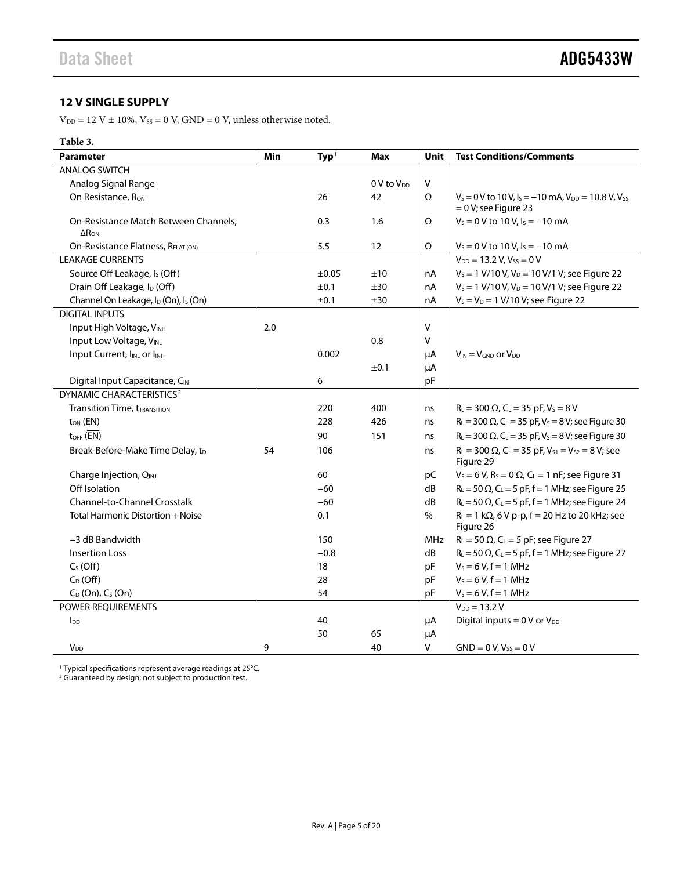#### <span id="page-4-0"></span>**12 V SINGLE SUPPLY**

 $\rm V_{\rm DD}$  = 12 V  $\pm$  10%,  $\rm V_{SS}$  = 0 V, GND = 0 V, unless otherwise noted.

#### **Table 3.**

| <b>Parameter</b>                                             | Min | Typ <sup>1</sup> | <b>Max</b>             | Unit    | <b>Test Conditions/Comments</b>                                                                        |
|--------------------------------------------------------------|-----|------------------|------------------------|---------|--------------------------------------------------------------------------------------------------------|
| <b>ANALOG SWITCH</b>                                         |     |                  |                        |         |                                                                                                        |
| Analog Signal Range                                          |     |                  | 0 V to V <sub>DD</sub> | $\sf V$ |                                                                                                        |
| On Resistance, R <sub>ON</sub>                               |     | 26               | 42                     | Ω       | $V_s = 0$ V to 10 V, $I_s = -10$ mA, $V_{DD} = 10.8$ V, $V_{SS}$<br>$= 0 V$ ; see Figure 23            |
| On-Resistance Match Between Channels,<br>$\Delta$ Ron        |     | 0.3              | 1.6                    | Ω       | $V_s = 0$ V to 10 V, $I_s = -10$ mA                                                                    |
| On-Resistance Flatness, RFLAT (ON)                           |     | 5.5              | 12                     | Ω       | $V_s = 0$ V to 10 V, $I_s = -10$ mA                                                                    |
| <b>LEAKAGE CURRENTS</b>                                      |     |                  |                        |         | $V_{DD} = 13.2 V, V_{SS} = 0 V$                                                                        |
| Source Off Leakage, Is (Off)                                 |     | ±0.05            | ±10                    | nA      | $V_s = 1$ V/10 V, V <sub>D</sub> = 10 V/1 V; see Figure 22                                             |
| Drain Off Leakage, I <sub>D</sub> (Off)                      |     | ±0.1             | ±30                    | nA      | $V_s = 1$ V/10 V, V <sub>D</sub> = 10 V/1 V; see Figure 22                                             |
| Channel On Leakage, I <sub>D</sub> (On), I <sub>S</sub> (On) |     | ±0.1             | ±30                    | nA      | $V_s = V_D = 1 V/10 V$ ; see Figure 22                                                                 |
| <b>DIGITAL INPUTS</b>                                        |     |                  |                        |         |                                                                                                        |
| Input High Voltage, VINH                                     | 2.0 |                  |                        | v       |                                                                                                        |
| Input Low Voltage, VINL                                      |     |                  | 0.8                    | v       |                                                                                                        |
| Input Current, IINL or IINH                                  |     | 0.002            |                        | μA      | $V_{IN} = V_{GND}$ or $V_{DD}$                                                                         |
|                                                              |     |                  | ±0.1                   | μA      |                                                                                                        |
| Digital Input Capacitance, CIN                               |     | 6                |                        | pF      |                                                                                                        |
| DYNAMIC CHARACTERISTICS <sup>2</sup>                         |     |                  |                        |         |                                                                                                        |
| <b>Transition Time, tTRANSITION</b>                          |     | 220              | 400                    | ns      | $R_L = 300 \Omega$ , C <sub>L</sub> = 35 pF, V <sub>s</sub> = 8 V                                      |
| $t_{ON}$ ( $\overline{EN}$ )                                 |     | 228              | 426                    | ns      | $R_L = 300 \Omega$ , C <sub>L</sub> = 35 pF, V <sub>s</sub> = 8 V; see Figure 30                       |
| $t_{OFF}$ ( $\overline{EN}$ )                                |     | 90               | 151                    | ns      | $R_L = 300 \Omega$ , C <sub>L</sub> = 35 pF, V <sub>s</sub> = 8 V; see Figure 30                       |
| Break-Before-Make Time Delay, tD                             | 54  | 106              |                        | ns      | $R_L = 300 \Omega$ , C <sub>L</sub> = 35 pF, V <sub>S1</sub> = V <sub>S2</sub> = 8 V; see<br>Figure 29 |
| Charge Injection, QINJ                                       |     | 60               |                        | pC      | $V_s = 6 V$ , R <sub>s</sub> = 0 $\Omega$ , C <sub>L</sub> = 1 nF; see Figure 31                       |
| Off Isolation                                                |     | $-60$            |                        | dB      | $R_L$ = 50 $\Omega$ , C <sub>L</sub> = 5 pF, f = 1 MHz; see Figure 25                                  |
| Channel-to-Channel Crosstalk                                 |     | $-60$            |                        | dB      | $R_L$ = 50 $\Omega$ , C <sub>L</sub> = 5 pF, f = 1 MHz; see Figure 24                                  |
| Total Harmonic Distortion + Noise                            |     | 0.1              |                        | $\%$    | $R_L = 1 k\Omega$ , 6 V p-p, f = 20 Hz to 20 kHz; see<br>Figure 26                                     |
| $-3$ dB Bandwidth                                            |     | 150              |                        | MHz     | $R_L$ = 50 $\Omega$ , C <sub>L</sub> = 5 pF; see Figure 27                                             |
| <b>Insertion Loss</b>                                        |     | $-0.8$           |                        | dB      | $R_L$ = 50 $\Omega$ , C <sub>L</sub> = 5 pF, f = 1 MHz; see Figure 27                                  |
| $CS$ (Off)                                                   |     | 18               |                        | pF      | $V_s = 6 V, f = 1 MHz$                                                                                 |
| $C_D$ (Off)                                                  |     | 28               |                        | pF      | $V_s = 6 V, f = 1 MHz$                                                                                 |
| $C_D$ (On), $C_S$ (On)                                       |     | 54               |                        | pF      | $V_s = 6 V, f = 1 MHz$                                                                                 |
| POWER REQUIREMENTS                                           |     |                  |                        |         | $V_{DD} = 13.2 V$                                                                                      |
| $I_{DD}$                                                     |     | 40               |                        | $\mu A$ | Digital inputs = $0 \text{ V or } V_{DD}$                                                              |
|                                                              |     | 50               | 65                     | μA      |                                                                                                        |
| <b>V<sub>DD</sub></b>                                        | 9   |                  | 40                     | $\vee$  | $GND = 0 V, V_{SS} = 0 V$                                                                              |

<span id="page-4-2"></span><span id="page-4-1"></span><sup>1</sup> Typical specifications represent average readings at 25°C.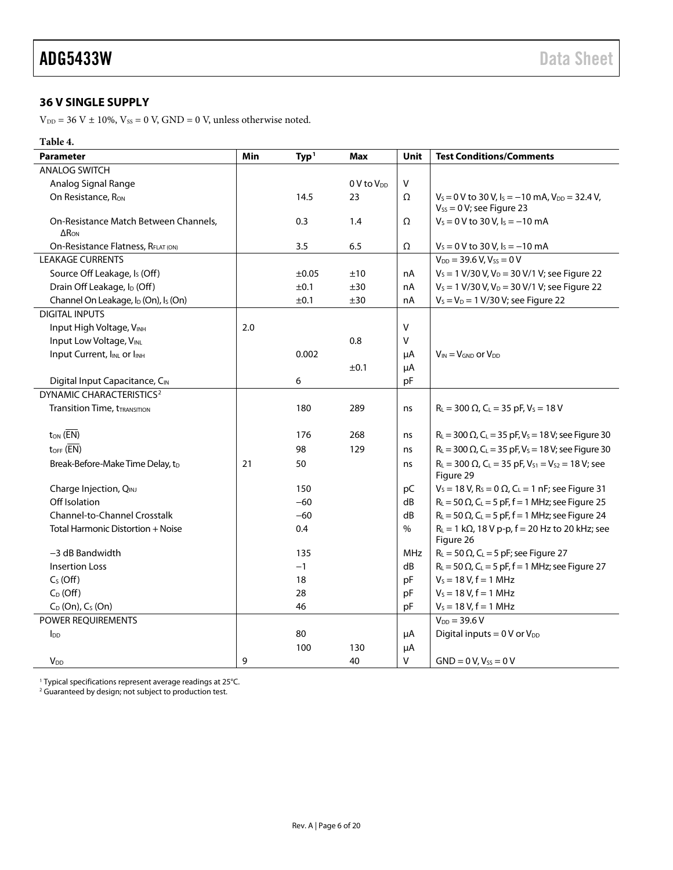#### <span id="page-5-0"></span>**36 V SINGLE SUPPLY**

 $\rm V_{\rm DD}$  = 36 V  $\pm$  10%,  $\rm V_{\rm SS}$  = 0 V, GND = 0 V, unless otherwise noted.

#### **Table 4.**

| <b>Parameter</b>                                                  | Min | Type <sup>1</sup> | <b>Max</b>             | Unit          | <b>Test Conditions/Comments</b>                                                                         |
|-------------------------------------------------------------------|-----|-------------------|------------------------|---------------|---------------------------------------------------------------------------------------------------------|
| <b>ANALOG SWITCH</b>                                              |     |                   |                        |               |                                                                                                         |
| Analog Signal Range                                               |     |                   | 0 V to V <sub>DD</sub> | $\mathsf{V}$  |                                                                                                         |
| On Resistance, R <sub>ON</sub>                                    |     | 14.5              | 23                     | Ω             | $V_s = 0$ V to 30 V, $I_s = -10$ mA, $V_{DD} = 32.4$ V,<br>$V_{SS} = 0 V$ ; see Figure 23               |
| On-Resistance Match Between Channels,<br>$\Delta$ R <sub>ON</sub> |     | 0.3               | 1.4                    | Ω             | $V_s = 0$ V to 30 V, $I_s = -10$ mA                                                                     |
| On-Resistance Flatness, RFLAT (ON)                                |     | 3.5               | 6.5                    | $\Omega$      | $V_s = 0$ V to 30 V, $I_s = -10$ mA                                                                     |
| <b>LEAKAGE CURRENTS</b>                                           |     |                   |                        |               | $V_{DD} = 39.6 V, V_{SS} = 0 V$                                                                         |
| Source Off Leakage, Is (Off)                                      |     | $\pm 0.05$        | ±10                    | nA            | $V_s = 1$ V/30 V, V <sub>D</sub> = 30 V/1 V; see Figure 22                                              |
| Drain Off Leakage, I <sub>D</sub> (Off)                           |     | ±0.1              | ±30                    | nA            | $V_s = 1$ V/30 V, V <sub>D</sub> = 30 V/1 V; see Figure 22                                              |
| Channel On Leakage, I <sub>D</sub> (On), I <sub>S</sub> (On)      |     | ±0.1              | ±30                    | nA            | $V_S = V_D = 1 \text{ V}/30 \text{ V}$ ; see Figure 22                                                  |
| <b>DIGITAL INPUTS</b>                                             |     |                   |                        |               |                                                                                                         |
| Input High Voltage, VINH                                          | 2.0 |                   |                        | $\mathsf{V}$  |                                                                                                         |
| Input Low Voltage, VINL                                           |     |                   | 0.8                    | $\mathsf{V}$  |                                                                                                         |
| Input Current, IINL or IINH                                       |     | 0.002             |                        | μA            | $V_{IN} = V_{GND}$ or $V_{DD}$                                                                          |
|                                                                   |     |                   | ±0.1                   | μA            |                                                                                                         |
| Digital Input Capacitance, CIN                                    |     | 6                 |                        | pF            |                                                                                                         |
| DYNAMIC CHARACTERISTICS <sup>2</sup>                              |     |                   |                        |               |                                                                                                         |
| <b>Transition Time, tTRANSITION</b>                               |     | 180               | 289                    | ns            | $R_L = 300 \Omega$ , C <sub>L</sub> = 35 pF, V <sub>s</sub> = 18 V                                      |
| $t_{ON}$ ( $\overline{EN}$ )                                      |     | 176               | 268                    | ns            | $R_L = 300 \Omega$ , C <sub>L</sub> = 35 pF, V <sub>s</sub> = 18 V; see Figure 30                       |
| $t_{OFF}$ ( $\overline{EN}$ )                                     |     | 98                | 129                    | ns            | $R_L = 300 \Omega$ , C <sub>L</sub> = 35 pF, V <sub>s</sub> = 18 V; see Figure 30                       |
| Break-Before-Make Time Delay, t <sub>D</sub>                      | 21  | 50                |                        | ns            | $R_L = 300 \Omega$ , C <sub>L</sub> = 35 pF, V <sub>S1</sub> = V <sub>S2</sub> = 18 V; see<br>Figure 29 |
| Charge Injection, QINJ                                            |     | 150               |                        | pC            | $V_s = 18 V$ , R <sub>s</sub> = 0 $\Omega$ , C <sub>L</sub> = 1 nF; see Figure 31                       |
| Off Isolation                                                     |     | $-60$             |                        | dB            | $R_L$ = 50 $\Omega$ , C <sub>L</sub> = 5 pF, f = 1 MHz; see Figure 25                                   |
| Channel-to-Channel Crosstalk                                      |     | $-60$             |                        | dB            | $R_L$ = 50 $\Omega$ , C <sub>L</sub> = 5 pF, f = 1 MHz; see Figure 24                                   |
| Total Harmonic Distortion + Noise                                 |     | 0.4               |                        | $\frac{0}{0}$ | $R_L = 1 k\Omega$ , 18 V p-p, f = 20 Hz to 20 kHz; see<br>Figure 26                                     |
| -3 dB Bandwidth                                                   |     | 135               |                        | MHz           | $R_L$ = 50 $\Omega$ , C <sub>L</sub> = 5 pF; see Figure 27                                              |
| <b>Insertion Loss</b>                                             |     | $-1$              |                        | dB            | $R_L$ = 50 $\Omega$ , C <sub>L</sub> = 5 pF, f = 1 MHz; see Figure 27                                   |
| $C_S(Off)$                                                        |     | 18                |                        | pF            | $V_s = 18 V, f = 1 MHz$                                                                                 |
| $C_D$ (Off)                                                       |     | 28                |                        | pF            | $V_s = 18 V, f = 1 MHz$                                                                                 |
| $C_D$ (On), $C_S$ (On)                                            |     | 46                |                        | pF            | $V_s = 18 V, f = 1 MHz$                                                                                 |
| POWER REQUIREMENTS                                                |     |                   |                        |               | $V_{DD} = 39.6 V$                                                                                       |
| $I_{DD}$                                                          |     | 80                |                        | μA            | Digital inputs = $0 \text{ V or } V_{DD}$                                                               |
|                                                                   |     | 100               | 130                    | μA            |                                                                                                         |
| <b>V</b> <sub>DD</sub>                                            | 9   |                   | 40                     | $\mathsf{V}$  | $GND = 0 V, V_{SS} = 0 V$                                                                               |

<sup>1</sup> Typical specifications represent average readings at 25°C.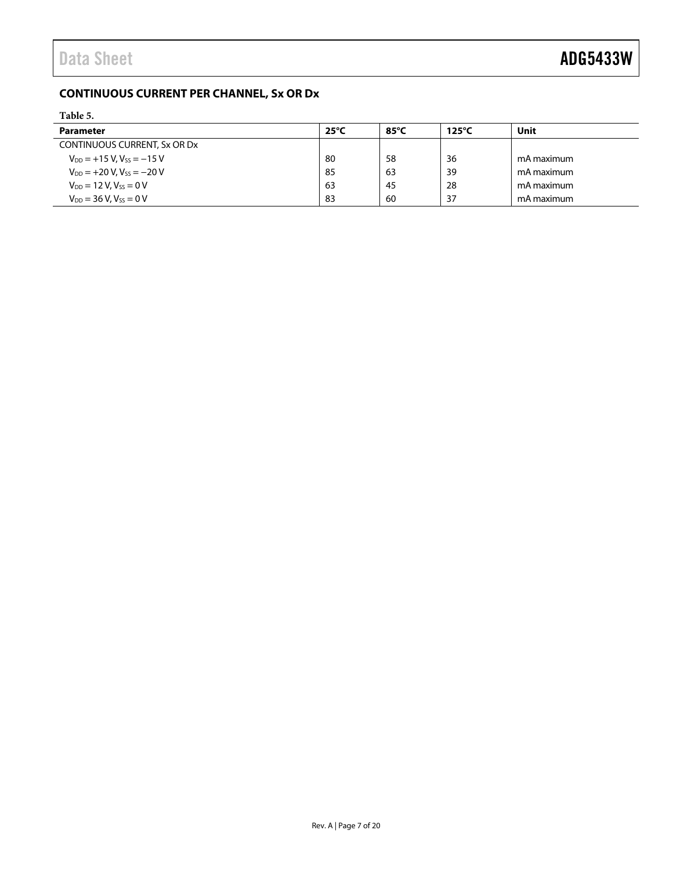### <span id="page-6-0"></span>**CONTINUOUS CURRENT PER CHANNEL, Sx OR Dx**

<span id="page-6-1"></span>

| Table 5.                            |                |                |                 |            |  |
|-------------------------------------|----------------|----------------|-----------------|------------|--|
| <b>Parameter</b>                    | $25^{\circ}$ C | $85^{\circ}$ C | $125^{\circ}$ C | Unit       |  |
| CONTINUOUS CURRENT, Sx OR Dx        |                |                |                 |            |  |
| $V_{DD} = +15 V$ , $V_{SS} = -15 V$ | -80            | 58             | 36              | mA maximum |  |
| $V_{DD}$ = +20 V, $V_{SS}$ = -20 V  | -85            | 63             | 39              | mA maximum |  |
| $V_{DD} = 12 V, V_{SS} = 0 V$       | -63            | 45             | 28              | mA maximum |  |
| $V_{DD} = 36 V, V_{SS} = 0 V$       | -83            | 60             | 37              | mA maximum |  |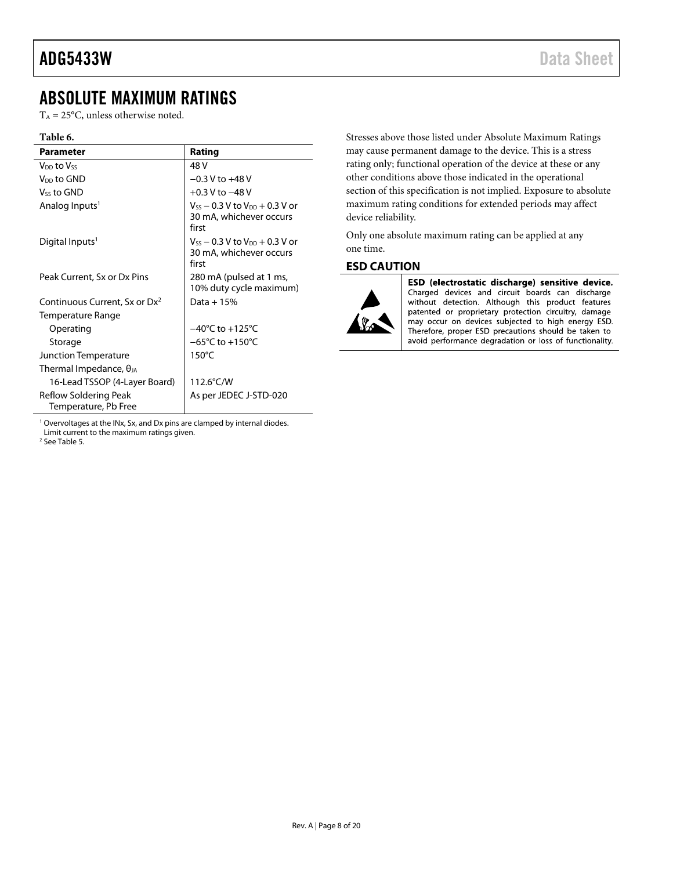### <span id="page-7-0"></span>ABSOLUTE MAXIMUM RATINGS

 $T_A = 25$ °C, unless otherwise noted.

#### **Table 6.**

| <b>Parameter</b>                              | Rating                                                                      |
|-----------------------------------------------|-----------------------------------------------------------------------------|
| V <sub>DD</sub> to Vss                        | 48 V                                                                        |
| V <sub>DD</sub> to GND                        | $-0.3$ V to $+48$ V                                                         |
| Vss to GND                                    | $+0.3$ V to $-48$ V                                                         |
| Analog Inputs <sup>1</sup>                    | $V_{SS}$ – 0.3 V to $V_{DD}$ + 0.3 V or<br>30 mA, whichever occurs<br>first |
| Digital Inputs <sup>1</sup>                   | $V_{SS}$ – 0.3 V to $V_{DD}$ + 0.3 V or<br>30 mA, whichever occurs<br>first |
| Peak Current, Sx or Dx Pins                   | 280 mA (pulsed at 1 ms,<br>10% duty cycle maximum)                          |
| Continuous Current, Sx or Dx <sup>2</sup>     | Data + $15%$                                                                |
| Temperature Range                             |                                                                             |
| Operating                                     | $-40^{\circ}$ C to $+125^{\circ}$ C                                         |
| Storage                                       | $-65^{\circ}$ C to $+150^{\circ}$ C                                         |
| Junction Temperature                          | $150^{\circ}$ C                                                             |
| Thermal Impedance, $\theta_{JA}$              |                                                                             |
| 16-Lead TSSOP (4-Layer Board)                 | 112.6°C/W                                                                   |
| Reflow Soldering Peak<br>Temperature, Pb Free | As per JEDEC J-STD-020                                                      |

<sup>1</sup> Overvoltages at the INx, Sx, and Dx pins are clamped by internal diodes. Limit current to the maximum ratings given.

<sup>2</sup> Se[e Table 5.](#page-6-1)

Stresses above those listed under Absolute Maximum Ratings may cause permanent damage to the device. This is a stress rating only; functional operation of the device at these or any other conditions above those indicated in the operational section of this specification is not implied. Exposure to absolute maximum rating conditions for extended periods may affect device reliability.

Only one absolute maximum rating can be applied at any one time.

#### <span id="page-7-1"></span>**ESD CAUTION**



ESD (electrostatic discharge) sensitive device. Charged devices and circuit boards can discharge without detection. Although this product features patented or proprietary protection circuitry, damage may occur on devices subjected to high energy ESD. Therefore, proper ESD precautions should be taken to avoid performance degradation or loss of functionality.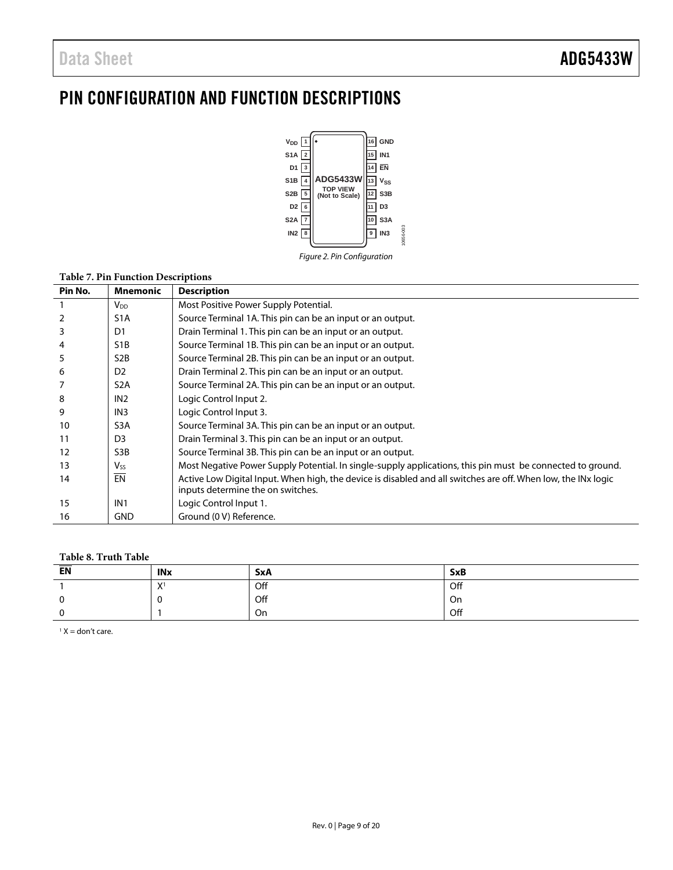## <span id="page-8-0"></span>PIN CONFIGURATION AND FUNCTION DESCRIPTIONS



*Figure 2. Pin Configuration*

#### **Table 7. Pin Function Descriptions**

| Pin No. | <b>Mnemonic</b>  | <b>Description</b>                                                                                            |
|---------|------------------|---------------------------------------------------------------------------------------------------------------|
|         | $V_{DD}$         | Most Positive Power Supply Potential.                                                                         |
|         | S <sub>1</sub> A | Source Terminal 1A. This pin can be an input or an output.                                                    |
| 3       | D <sub>1</sub>   | Drain Terminal 1. This pin can be an input or an output.                                                      |
| 4       | S <sub>1</sub> B | Source Terminal 1B. This pin can be an input or an output.                                                    |
| 5       | S <sub>2</sub> B | Source Terminal 2B. This pin can be an input or an output.                                                    |
| 6       | D <sub>2</sub>   | Drain Terminal 2. This pin can be an input or an output.                                                      |
|         | S <sub>2</sub> A | Source Terminal 2A. This pin can be an input or an output.                                                    |
| 8       | IN <sub>2</sub>  | Logic Control Input 2.                                                                                        |
| 9       | IN <sub>3</sub>  | Logic Control Input 3.                                                                                        |
| 10      | S <sub>3</sub> A | Source Terminal 3A. This pin can be an input or an output.                                                    |
| 11      | D <sub>3</sub>   | Drain Terminal 3. This pin can be an input or an output.                                                      |
| 12      | S <sub>3</sub> B | Source Terminal 3B. This pin can be an input or an output.                                                    |
| 13      | V <sub>ss</sub>  | Most Negative Power Supply Potential. In single-supply applications, this pin must be connected to ground.    |
| 14      | <b>EN</b>        | Active Low Digital Input. When high, the device is disabled and all switches are off. When low, the INx logic |
|         |                  | inputs determine the on switches.                                                                             |
| 15      | IN <sub>1</sub>  | Logic Control Input 1.                                                                                        |
| 16      | <b>GND</b>       | Ground (0 V) Reference.                                                                                       |

#### **Table 8. Truth Table**

| <b>EN</b>     | <b>INx</b>                  | <b>SxA</b> | <b>SxB</b> |
|---------------|-----------------------------|------------|------------|
|               | $\mathbf{V}^1$<br>$\lambda$ | Off        | Off        |
| $\Omega$<br>u |                             | Off        | On         |
| $\sim$        |                             | On         | Off        |

 $1 X =$  don't care.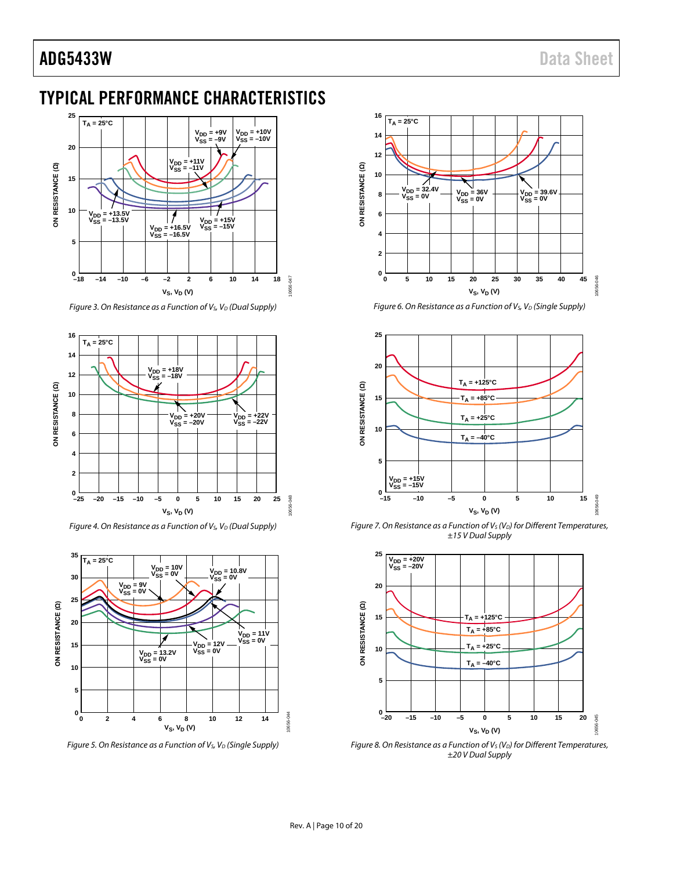### <span id="page-9-0"></span>TYPICAL PERFORMANCE CHARACTERISTICS



*Figure 3. On Resistance as a Function of V<sub>S</sub>, V<sub>D</sub> (Dual Supply)* 



*Figure 4. On Resistance as a Function of V<sub>S</sub>, V<sub>D</sub> (Dual Supply)* 



*Figure 5. On Resistance as a Function of V<sub>S</sub>, V<sub>D</sub> (Single Supply)* 



*Figure 6. On Resistance as a Function of V<sub>S</sub>, V<sub>D</sub> (Single Supply)* 



*Figure 7. On Resistance as a Function of V<sub>S</sub> (V<sub>D</sub>) for Different Temperatures, ±15 V Dual Supply*



*Figure 8. On Resistance as a Function of V<sub>s</sub> (V<sub>D</sub>) for Different Temperatures, ±20 V Dual Supply*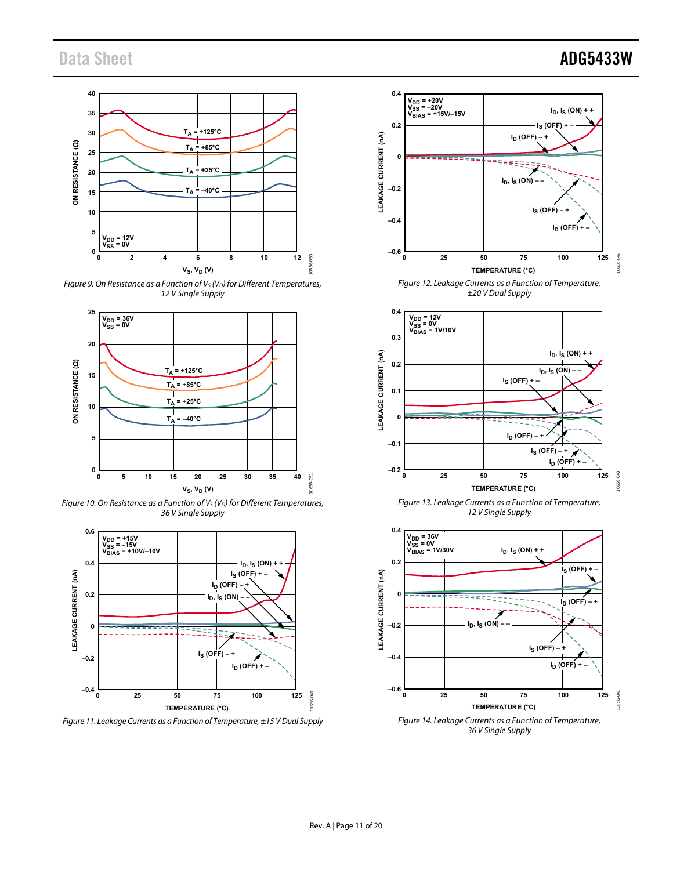### Data Sheet **ADG5433W**



Figure 9. On Resistance as a Function of  $V_S$  ( $V_D$ ) for Different Temperatures, 12 V Single Supply



Figure 10. On Resistance as a Function of  $V_S$  ( $V_D$ ) for Different Temperatures, 36 V Single Supply



Figure 11. Leakage Currents as a Function of Temperature, ±15 V Dual Supply



Figure 12. Leakage Currents as a Function of Temperature, ±20 V Dual Supply







36 V Single Supply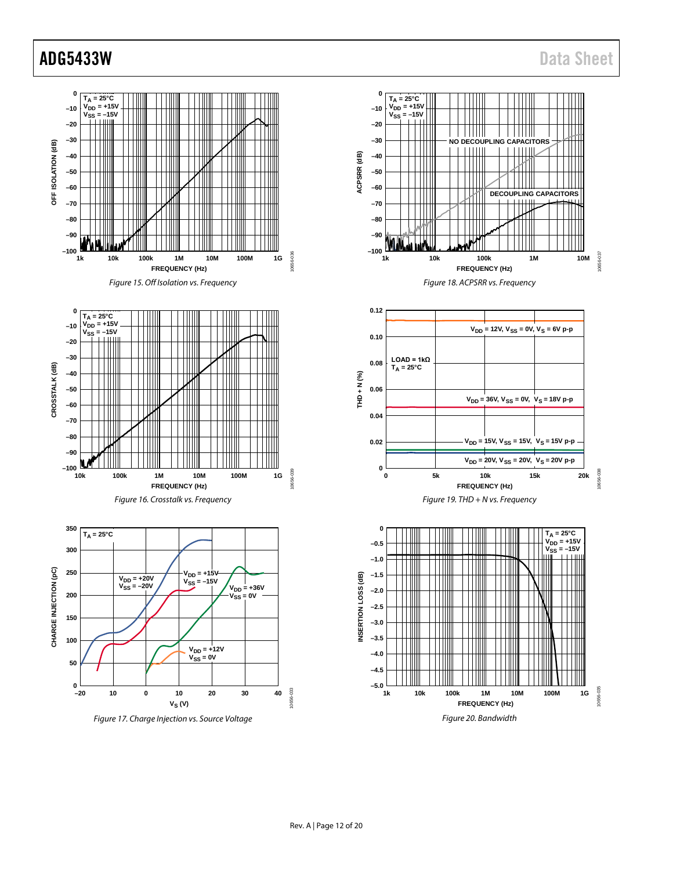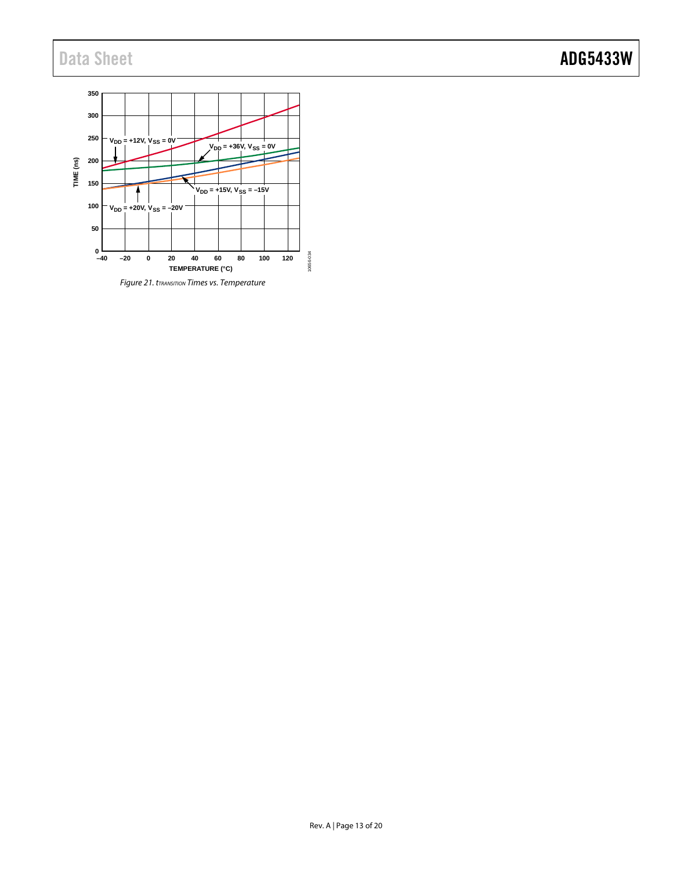### Data Sheet **ADG5433W**

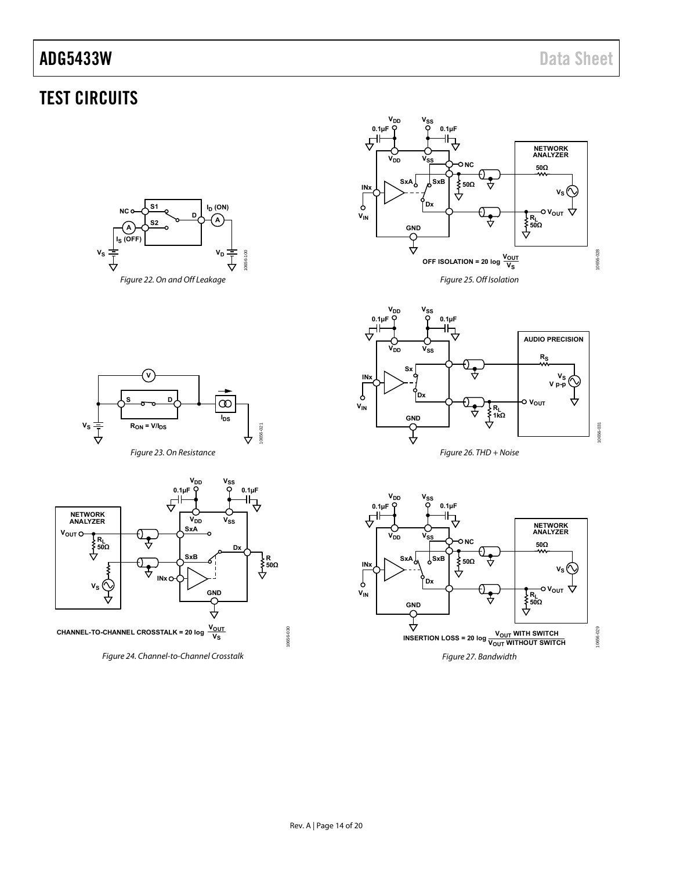## <span id="page-13-0"></span>TEST CIRCUITS

<span id="page-13-2"></span>



<span id="page-13-3"></span>



Figure 23. On Resistance

<span id="page-13-1"></span>

<span id="page-13-4"></span>Figure 24. Channel-to-Channel Crosstalk



<span id="page-13-5"></span>

<span id="page-13-6"></span>10656-030

0656-030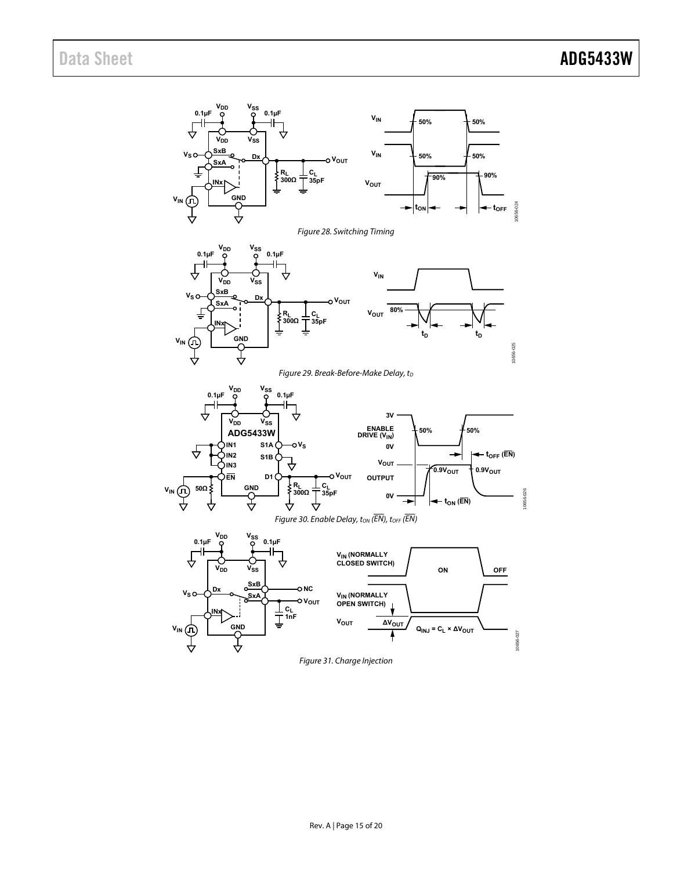<span id="page-14-2"></span><span id="page-14-1"></span><span id="page-14-0"></span>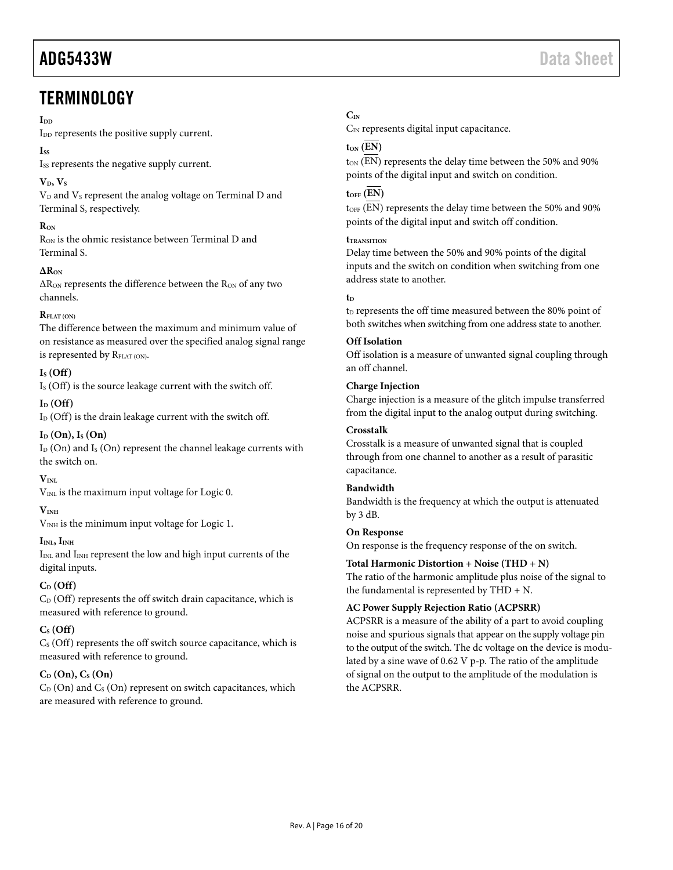## <span id="page-15-0"></span>**TERMINOLOGY**

#### $\mathbf{I}_{\mathbf{D}}$

I<sub>DD</sub> represents the positive supply current.

#### **ISS**

Iss represents the negative supply current.

### $V<sub>D</sub>, V<sub>S</sub>$

V<sub>D</sub> and V<sub>s</sub> represent the analog voltage on Terminal D and Terminal S, respectively.

#### **RON**

R<sub>ON</sub> is the ohmic resistance between Terminal D and Terminal S.

#### **∆RON**

∆R<sub>ON</sub> represents the difference between the R<sub>ON</sub> of any two channels.

#### $\mathbf{R}_{\text{EIAT}}$  (ON)

The difference between the maximum and minimum value of on resistance as measured over the specified analog signal range is represented by RFLAT (ON).

### **IS (Off)**

I<sub>S</sub> (Off) is the source leakage current with the switch off.

#### $I_D$   $(Off)$

 $I_D$  (Off) is the drain leakage current with the switch off.

#### **ID (On), IS (On)**

 $I_D$  (On) and  $I_S$  (On) represent the channel leakage currents with the switch on.

### $V_{\text{INI}}$

 $V_{INL}$  is the maximum input voltage for Logic 0.

#### **VINH**

V<sub>INH</sub> is the minimum input voltage for Logic 1.

#### $I<sub>INL</sub>, I<sub>INH</sub>$

 $I_{INL}$  and  $I_{INH}$  represent the low and high input currents of the digital inputs.

### **CD (Off)**

 $C_D$  (Off) represents the off switch drain capacitance, which is measured with reference to ground.

### $C_S$  (Off)

 $C<sub>S</sub>$  (Off) represents the off switch source capacitance, which is measured with reference to ground.

### **CD (On), CS (On)**

 $C_D$  (On) and  $C_S$  (On) represent on switch capacitances, which are measured with reference to ground.

### **CIN**

C<sub>IN</sub> represents digital input capacitance.

### $t_{ON}$   $(\overline{EN})$

t<sub>ON</sub> (EN) represents the delay time between the 50% and 90% points of the digital input and switch on condition.

### $t$ <sub>OFF</sub> $(\overline{EN})$

 $t<sub>OFF</sub>$  (EN) represents the delay time between the 50% and 90% points of the digital input and switch off condition.

#### **tTRANSITION**

Delay time between the 50% and 90% points of the digital inputs and the switch on condition when switching from one address state to another.

#### **t**<sub>D</sub>

t<sub>D</sub> represents the off time measured between the 80% point of both switches when switching from one address state to another.

#### **Off Isolation**

Off isolation is a measure of unwanted signal coupling through an off channel.

#### **Charge Injection**

Charge injection is a measure of the glitch impulse transferred from the digital input to the analog output during switching.

#### **Crosstalk**

Crosstalk is a measure of unwanted signal that is coupled through from one channel to another as a result of parasitic capacitance.

#### **Bandwidth**

Bandwidth is the frequency at which the output is attenuated by 3 dB.

#### **On Response**

On response is the frequency response of the on switch.

#### **Total Harmonic Distortion + Noise (THD + N)**

The ratio of the harmonic amplitude plus noise of the signal to the fundamental is represented by THD + N.

#### **AC Power Supply Rejection Ratio (ACPSRR)**

ACPSRR is a measure of the ability of a part to avoid coupling noise and spurious signals that appear on the supply voltage pin to the output of the switch. The dc voltage on the device is modulated by a sine wave of 0.62 V p-p. The ratio of the amplitude of signal on the output to the amplitude of the modulation is the ACPSRR.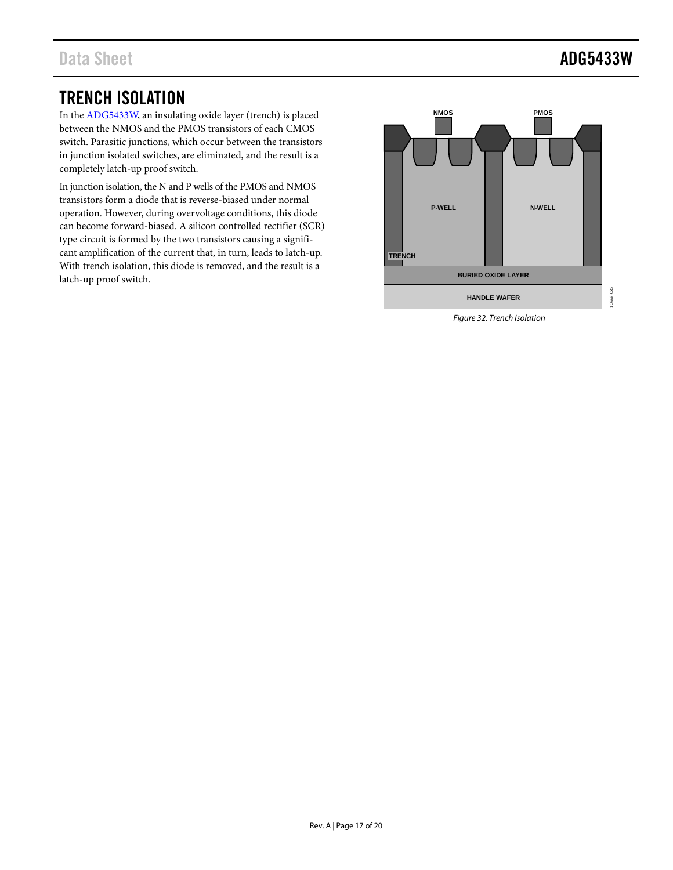### <span id="page-16-0"></span>TRENCH ISOLATION

In th[e ADG5433W,](http://www.analog.com/adg5433?doc=ADG5433W.pdf) an insulating oxide layer (trench) is placed between the NMOS and the PMOS transistors of each CMOS switch. Parasitic junctions, which occur between the transistors in junction isolated switches, are eliminated, and the result is a completely latch-up proof switch.

In junction isolation, the N and P wells of the PMOS and NMOS transistors form a diode that is reverse-biased under normal operation. However, during overvoltage conditions, this diode can become forward-biased. A silicon controlled rectifier (SCR) type circuit is formed by the two transistors causing a significant amplification of the current that, in turn, leads to latch-up. With trench isolation, this diode is removed, and the result is a latch-up proof switch.



*Figure 32. Trench Isolation*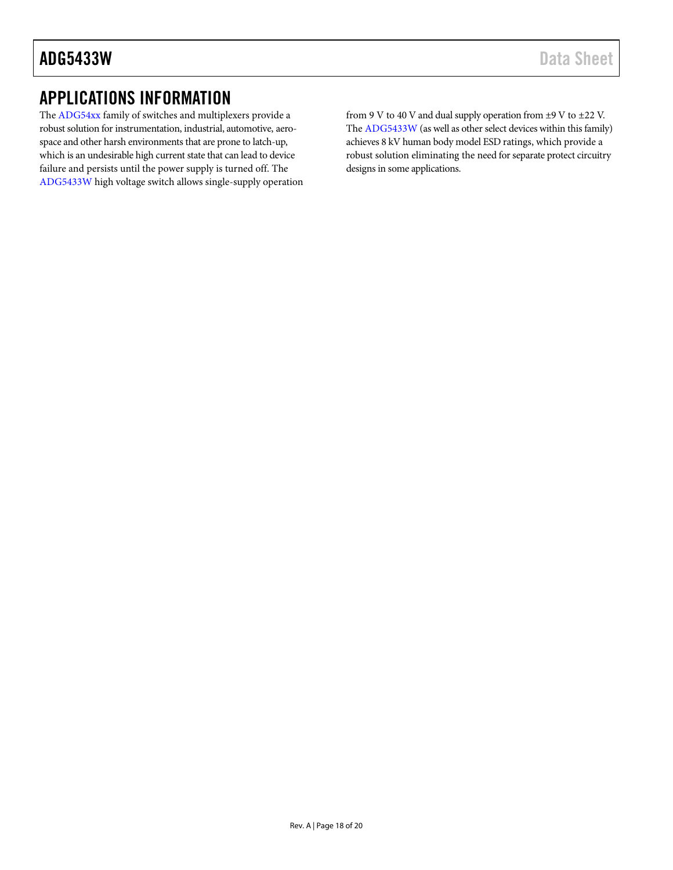### <span id="page-17-0"></span>APPLICATIONS INFORMATION

The [ADG54xx](http://www.analog.com/adg54?doc=ADG5433W.pdf) family of switches and multiplexers provide a robust solution for instrumentation, industrial, automotive, aerospace and other harsh environments that are prone to latch-up, which is an undesirable high current state that can lead to device failure and persists until the power supply is turned off. The [ADG5433W](http://www.analog.com/adg5433?doc=ADG5433W.pdf) high voltage switch allows single-supply operation from 9 V to 40 V and dual supply operation from  $\pm$ 9 V to  $\pm$ 22 V. The [ADG5433W](http://www.analog.com/adg5433?doc=ADG5433W.pdf) (as well as other select devices within this family) achieves 8 kV human body model ESD ratings, which provide a robust solution eliminating the need for separate protect circuitry designs in some applications.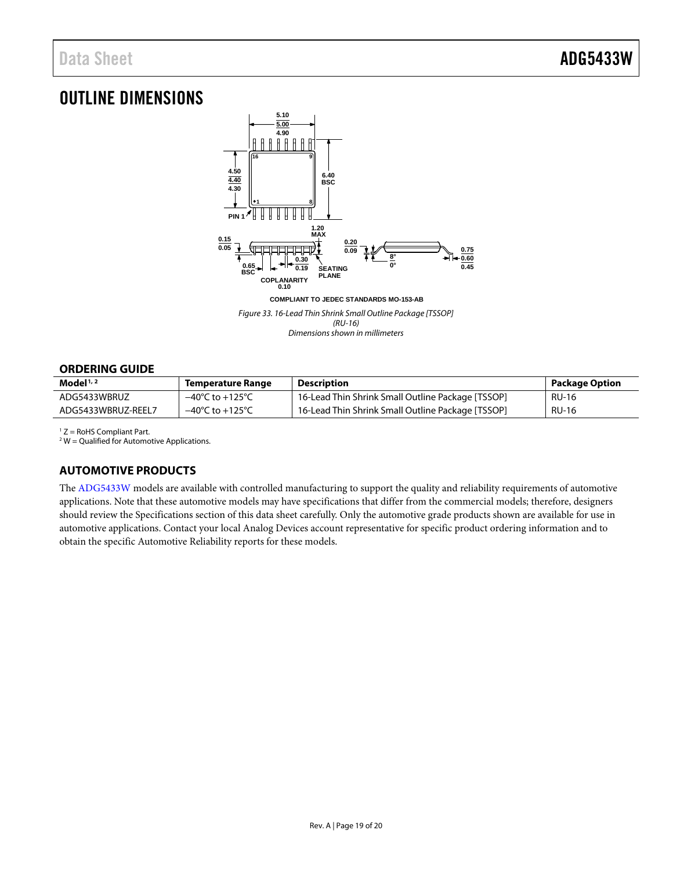### <span id="page-18-0"></span>OUTLINE DIMENSIONS



*Figure 33. 16-Lead Thin Shrink Small Outline Package [TSSOP] (RU-16) Dimensions shown in millimeters*

#### <span id="page-18-1"></span>**ORDERING GUIDE**

| Model $1/2$        | <b>Temperature Range</b>            | <b>Description</b>                                | Package Option |
|--------------------|-------------------------------------|---------------------------------------------------|----------------|
| ADG5433WBRUZ       | $-40^{\circ}$ C to $+125^{\circ}$ C | 16-Lead Thin Shrink Small Outline Package [TSSOP] | RU-16          |
| ADG5433WBRUZ-REEL7 | $-40^{\circ}$ C to $+125^{\circ}$ C | 16-Lead Thin Shrink Small Outline Package [TSSOP] | <b>RU-16</b>   |

 $1 Z =$  RoHS Compliant Part.

 $2$  W = Qualified for Automotive Applications.

#### <span id="page-18-2"></span>**AUTOMOTIVE PRODUCTS**

The [ADG5433W](http://www.analog.com/adg5433?doc=ADG5433W.pdf) models are available with controlled manufacturing to support the quality and reliability requirements of automotive applications. Note that these automotive models may have specifications that differ from the commercial models; therefore, designers should review th[e Specifications](#page-2-0) section of this data sheet carefully. Only the automotive grade products shown are available for use in automotive applications. Contact your local Analog Devices account representative for specific product ordering information and to obtain the specific Automotive Reliability reports for these models.